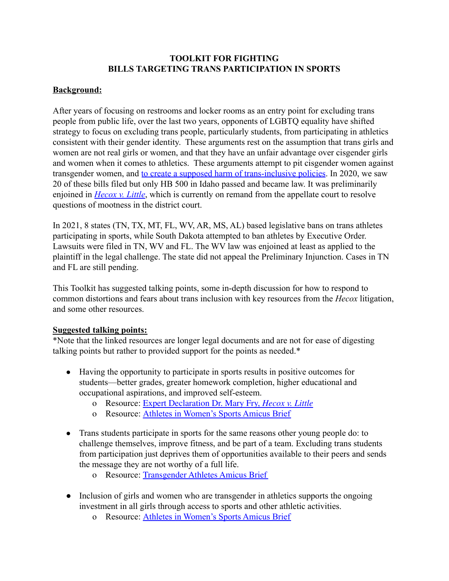#### **TOOLKIT FOR FIGHTING BILLS TARGETING TRANS PARTICIPATION IN SPORTS**

### **Background:**

After years of focusing on restrooms and locker rooms as an entry point for excluding trans people from public life, over the last two years, opponents of LGBTQ equality have shifted strategy to focus on excluding trans people, particularly students, from participating in athletics consistent with their gender identity. These arguments rest on the assumption that trans girls and women are not real girls or women, and that they have an unfair advantage over cisgender girls and women when it comes to athletics. These arguments attempt to pit cisgender women against transgender women, and [to create a supposed harm of](https://www.outsports.com/2019/12/3/20993190/inclusion-sports-transgender-athletes-propaganda-mosier-patricio-telfer) trans-inclusive policies. In 2020, we saw 20 of these bills filed but only HB 500 in Idaho passed and became law. It was preliminarily enjoined in *[Hecox v. Little](https://www.aclu.org/cases/hecox-v-little)*, which is currently on remand from the appellate court to resolve questions of mootness in the district court.

In 2021, 8 states (TN, TX, MT, FL, WV, AR, MS, AL) based legislative bans on trans athletes participating in sports, while South Dakota attempted to ban athletes by Executive Order. Lawsuits were filed in TN, WV and FL. The WV law was enjoined at least as applied to the plaintiff in the legal challenge. The state did not appeal the Preliminary Injunction. Cases in TN and FL are still pending.

This Toolkit has suggested talking points, some in-depth discussion for how to respond to common distortions and fears about trans inclusion with key resources from the *Hecox* litigation, and some other resources.

#### **Suggested talking points:**

\*Note that the linked resources are longer legal documents and are not for ease of digesting talking points but rather to provided support for the points as needed.\*

- Having the opportunity to participate in sports results in positive outcomes for students—better grades, greater homework completion, higher educational and occupational aspirations, and improved self-esteem.
	- o Resource: Expert [Declaration](https://www.aclu.org/sites/default/files/field_document/hecox_v_little_-_fry_declaration.pdf) Dr. Mary Fry, *Hecox v. Little*
	- o Resource: [Athletes in Women's Sports Amicus Brief](https://www.aclu.org/sites/default/files/field_document/athletes_in_womens_sports_brief.pdf)
- Trans students participate in sports for the same reasons other young people do: to challenge themselves, improve fitness, and be part of a team. Excluding trans students from participation just deprives them of opportunities available to their peers and sends the message they are not worthy of a full life.
	- o Resource: [Transgender](https://www.aclu.org/sites/default/files/field_document/transgender_women_athletes.pdf) Athletes Amicus Brief
- Inclusion of girls and women who are transgender in athletics supports the ongoing investment in all girls through access to sports and other athletic activities.
	- o Resource: [Athletes in Women's Sports Amicus Brief](https://www.aclu.org/sites/default/files/field_document/athletes_in_womens_sports_brief.pdf)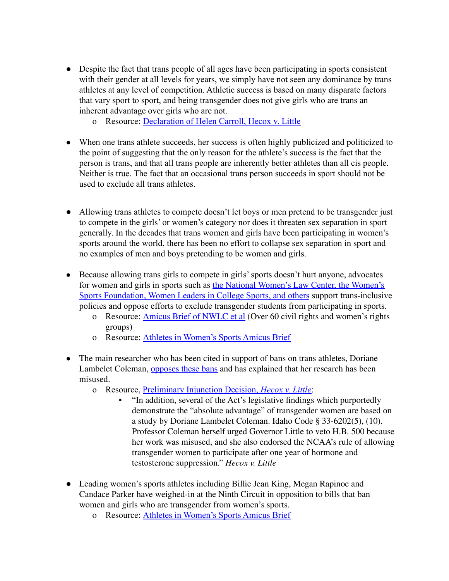- Despite the fact that trans people of all ages have been participating in sports consistent with their gender at all levels for years, we simply have not seen any dominance by trans athletes at any level of competition. Athletic success is based on many disparate factors that vary sport to sport, and being transgender does not give girls who are trans an inherent advantage over girls who are not.
	- o Resource: [Declaration of Helen Carroll, Hecox v. Little](https://www.aclu.org/sites/default/files/field_document/hecox_v_little_-_carroll_declaration.pdf)
- When one trans athlete succeeds, her success is often highly publicized and politicized to the point of suggesting that the only reason for the athlete's success is the fact that the person is trans, and that all trans people are inherently better athletes than all cis people. Neither is true. The fact that an occasional trans person succeeds in sport should not be used to exclude all trans athletes.
- Allowing trans athletes to compete doesn't let boys or men pretend to be transgender just to compete in the girls' or women's category nor does it threaten sex separation in sport generally. In the decades that trans women and girls have been participating in women's sports around the world, there has been no effort to collapse sex separation in sport and no examples of men and boys pretending to be women and girls.
- Because allowing trans girls to compete in girls' sports doesn't hurt anyone, advocates for women and girls in sports such as the National [Women's Law Center, the Women's](https://nwlc.org/wp-content/uploads/2019/04/Womens-Groups-Sign-on-Letter-Trans-Sports-4.9.19.pdf) [Sports Foundation, Women Leaders in College Sports, and others](https://nwlc.org/wp-content/uploads/2019/04/Womens-Groups-Sign-on-Letter-Trans-Sports-4.9.19.pdf) support trans-inclusive policies and oppose efforts to exclude transgender students from participating in sports.
	- o Resource: [Amicus](https://www.aclu.org/sites/default/files/field_document/nwlc_ecf-stamped-hecox-amicus-12.21.2020.pdf) Brief of NWLC et al (Over 60 civil rights and women's rights groups)
	- o Resource: [Athletes in Women's Sports Amicus Brief](https://www.aclu.org/sites/default/files/field_document/athletes_in_womens_sports_brief.pdf)
- The main researcher who has been cited in support of bans on trans athletes, Doriane Lambelet Coleman, [opposes](https://www.idahopress.com/eyeonboise/professor-whose-work-is-cited-in-hb-a-the-transgender/article_0e800202-cac1-5721-a769-3268665316a8.html) these bans and has explained that her research has been misused.
	- o Resource, [Preliminary Injunction Decision,](https://www.aclu.org/sites/default/files/field_document/hecox_v_little_-_order_granding_preliminary_injunction.pdf.) *Hecox v. Little*:
		- "In addition, several of the Act's legislative findings which purportedly demonstrate the "absolute advantage" of transgender women are based on a study by Doriane Lambelet Coleman. Idaho Code § 33-6202(5), (10). Professor Coleman herself urged Governor Little to veto H.B. 500 because her work was misused, and she also endorsed the NCAA's rule of allowing transgender women to participate after one year of hormone and testosterone suppression." *Hecox v. Little*
- Leading women's sports athletes including Billie Jean King, Megan Rapinoe and Candace Parker have weighed-in at the Ninth Circuit in opposition to bills that ban women and girls who are transgender from women's sports.
	- o Resource: [Athletes in Women's Sports Amicus Brief](https://www.aclu.org/sites/default/files/field_document/athletes_in_womens_sports_brief.pdf)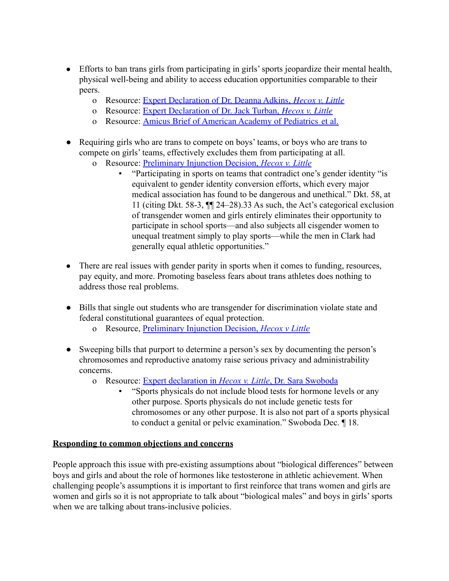- Efforts to ban trans girls from participating in girls' sports jeopardize their mental health, physical well-being and ability to access education opportunities comparable to their peers.
	- o Resource: Expert [Declaration](https://www.aclu.org/sites/default/files/field_document/hecox_v_little_-_adkins_declaration.pdf) of Dr. Deanna Adkins, *Hecox v. Little*
	- o Resource: Expert [Declaration](https://www.aclu.org/sites/default/files/field_document/jack_dec.pdf) of Dr. Jack Turban, *Hecox v. Little*
	- o Resource: Amicus Brief of [American](https://www.aclu.org/sites/default/files/field_document/ama_aap_and_medical_groups.pdf) Academy of Pediatrics et al.
- Requiring girls who are trans to compete on boys' teams, or boys who are trans to compete on girls' teams, effectively excludes them from participating at all.
	- o Resource: [Preliminary Injunction Decision,](https://www.aclu.org/sites/default/files/field_document/hecox_v_little_-_order_granding_preliminary_injunction.pdf.) *Hecox v. Little*
		- "Participating in sports on teams that contradict one's gender identity "is equivalent to gender identity conversion efforts, which every major medical association has found to be dangerous and unethical." Dkt. 58, at 11 (citing Dkt. 58-3, ¶¶ 24–28).33 As such, the Act's categorical exclusion of transgender women and girls entirely eliminates their opportunity to participate in school sports—and also subjects all cisgender women to unequal treatment simply to play sports—while the men in Clark had generally equal athletic opportunities."
- There are real issues with gender parity in sports when it comes to funding, resources, pay equity, and more. Promoting baseless fears about trans athletes does nothing to address those real problems.
- Bills that single out students who are transgender for discrimination violate state and federal constitutional guarantees of equal protection.
	- o Resource, [Preliminary Injunction Decision,](https://www.aclu.org/sites/default/files/field_document/hecox_v_little_-_order_granding_preliminary_injunction.pdf.) *Hecox v Little*
- Sweeping bills that purport to determine a person's sex by documenting the person's chromosomes and reproductive anatomy raise serious privacy and administrability concerns.
	- o Resource: Expert declaration in *Hecox v. Little*, Dr. Sara Swoboda
		- "Sports physicals do not include blood tests for hormone levels or any other purpose. Sports physicals do not include genetic tests for chromosomes or any other purpose. It is also not part of a sports physical to conduct a genital or pelvic examination." Swoboda Dec. ¶ 18.

# **Responding to common objections and concerns**

People approach this issue with pre-existing assumptions about "biological differences" between boys and girls and about the role of hormones like testosterone in athletic achievement. When challenging people's assumptions it is important to first reinforce that trans women and girls are women and girls so it is not appropriate to talk about "biological males" and boys in girls' sports when we are talking about trans-inclusive policies.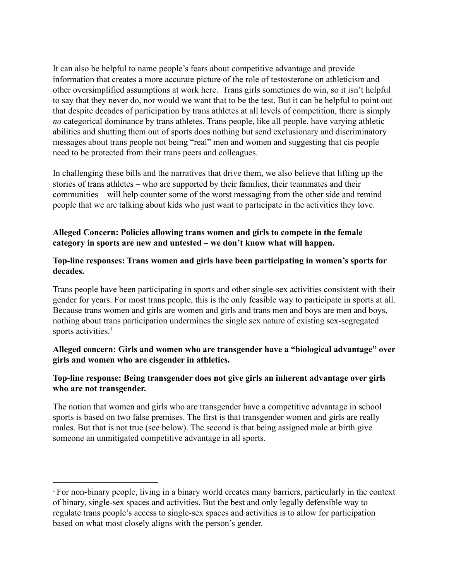It can also be helpful to name people's fears about competitive advantage and provide information that creates a more accurate picture of the role of testosterone on athleticism and other oversimplified assumptions at work here. Trans girls sometimes do win, so it isn't helpful to say that they never do, nor would we want that to be the test. But it can be helpful to point out that despite decades of participation by trans athletes at all levels of competition, there is simply *no* categorical dominance by trans athletes. Trans people, like all people, have varying athletic abilities and shutting them out of sports does nothing but send exclusionary and discriminatory messages about trans people not being "real" men and women and suggesting that cis people need to be protected from their trans peers and colleagues.

In challenging these bills and the narratives that drive them, we also believe that lifting up the stories of trans athletes – who are supported by their families, their teammates and their communities – will help counter some of the worst messaging from the other side and remind people that we are talking about kids who just want to participate in the activities they love.

#### **Alleged Concern: Policies allowing trans women and girls to compete in the female category in sports are new and untested – we don't know what will happen.**

#### **Top-line responses: Trans women and girls have been participating in women's sports for decades.**

Trans people have been participating in sports and other single-sex activities consistent with their gender for years. For most trans people, this is the only feasible way to participate in sports at all. Because trans women and girls are women and girls and trans men and boys are men and boys, nothing about trans participation undermines the single sex nature of existing sex-segregated sports activities.<sup>1</sup>

#### **Alleged concern: Girls and women who are transgender have a "biological advantage" over girls and women who are cisgender in athletics.**

#### **Top-line response: Being transgender does not give girls an inherent advantage over girls who are not transgender.**

The notion that women and girls who are transgender have a competitive advantage in school sports is based on two false premises. The first is that transgender women and girls are really males. But that is not true (see below). The second is that being assigned male at birth give someone an unmitigated competitive advantage in all sports.

<sup>1</sup> For non-binary people, living in a binary world creates many barriers, particularly in the context of binary, single-sex spaces and activities. But the best and only legally defensible way to regulate trans people's access to single-sex spaces and activities is to allow for participation based on what most closely aligns with the person's gender.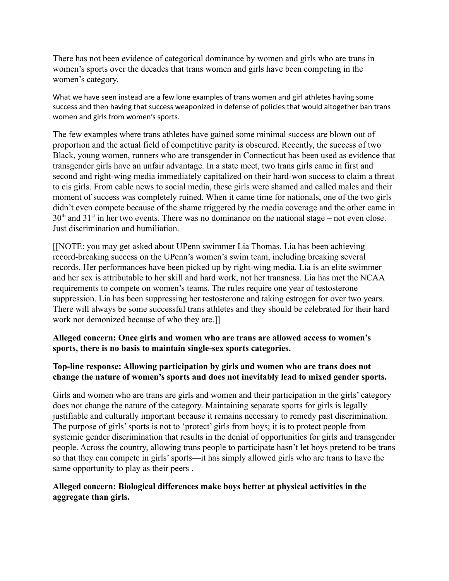There has not been evidence of categorical dominance by women and girls who are trans in women's sports over the decades that trans women and girls have been competing in the women's category.

What we have seen instead are a few lone examples of trans women and girl athletes having some success and then having that success weaponized in defense of policies that would altogether ban trans women and girls from women's sports.

The few examples where trans athletes have gained some minimal success are blown out of proportion and the actual field of competitive parity is obscured. Recently, the success of two Black, young women, runners who are transgender in Connecticut has been used as evidence that transgender girls have an unfair advantage. In a state meet, two trans girls came in first and second and right-wing media immediately capitalized on their hard-won success to claim a threat to cis girls. From cable news to social media, these girls were shamed and called males and their moment of success was completely ruined. When it came time for nationals, one of the two girls didn't even compete because of the shame triggered by the media coverage and the other came in  $30<sup>th</sup>$  and  $31<sup>st</sup>$  in her two events. There was no dominance on the national stage – not even close. Just discrimination and humiliation.

[[NOTE: you may get asked about UPenn swimmer Lia Thomas. Lia has been achieving record-breaking success on the UPenn's women's swim team, including breaking several records. Her performances have been picked up by right-wing media. Lia is an elite swimmer and her sex is attributable to her skill and hard work, not her transness. Lia has met the NCAA requirements to compete on women's teams. The rules require one year of testosterone suppression. Lia has been suppressing her testosterone and taking estrogen for over two years. There will always be some successful trans athletes and they should be celebrated for their hard work not demonized because of who they are.]]

**Alleged concern: Once girls and women who are trans are allowed access to women's sports, there is no basis to maintain single-sex sports categories.**

## **Top-line response: Allowing participation by girls and women who are trans does not change the nature of women's sports and does not inevitably lead to mixed gender sports.**

Girls and women who are trans are girls and women and their participation in the girls' category does not change the nature of the category. Maintaining separate sports for girls is legally justifiable and culturally important because it remains necessary to remedy past discrimination. The purpose of girls' sports is not to 'protect' girls from boys; it is to protect people from systemic gender discrimination that results in the denial of opportunities for girls and transgender people. Across the country, allowing trans people to participate hasn't let boys pretend to be trans so that they can compete in girls' sports—it has simply allowed girls who are trans to have the same opportunity to play as their peers .

## **Alleged concern: Biological differences make boys better at physical activities in the aggregate than girls.**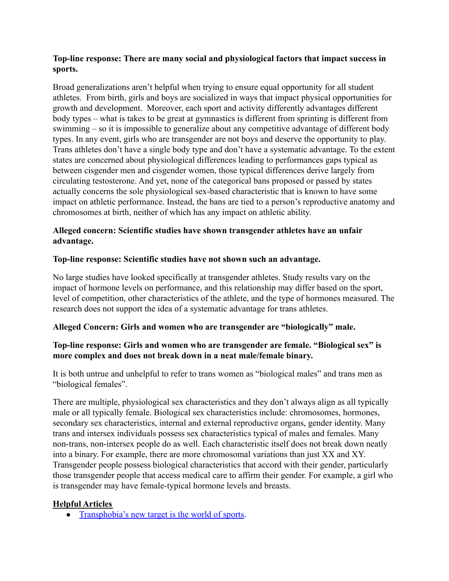## **Top-line response: There are many social and physiological factors that impact success in sports.**

Broad generalizations aren't helpful when trying to ensure equal opportunity for all student athletes. From birth, girls and boys are socialized in ways that impact physical opportunities for growth and development. Moreover, each sport and activity differently advantages different body types – what is takes to be great at gymnastics is different from sprinting is different from swimming – so it is impossible to generalize about any competitive advantage of different body types. In any event, girls who are transgender are not boys and deserve the opportunity to play. Trans athletes don't have a single body type and don't have a systematic advantage. To the extent states are concerned about physiological differences leading to performances gaps typical as between cisgender men and cisgender women, those typical differences derive largely from circulating testosterone. And yet, none of the categorical bans proposed or passed by states actually concerns the sole physiological sex-based characteristic that is known to have some impact on athletic performance. Instead, the bans are tied to a person's reproductive anatomy and chromosomes at birth, neither of which has any impact on athletic ability.

## **Alleged concern: Scientific studies have shown transgender athletes have an unfair advantage.**

## **Top-line response: Scientific studies have not shown such an advantage.**

No large studies have looked specifically at transgender athletes. Study results vary on the impact of hormone levels on performance, and this relationship may differ based on the sport, level of competition, other characteristics of the athlete, and the type of hormones measured. The research does not support the idea of a systematic advantage for trans athletes.

# **Alleged Concern: Girls and women who are transgender are "biologically" male.**

## **Top-line response: Girls and women who are transgender are female. "Biological sex" is more complex and does not break down in a neat male/female binary.**

It is both untrue and unhelpful to refer to trans women as "biological males" and trans men as "biological females".

There are multiple, physiological sex characteristics and they don't always align as all typically male or all typically female. Biological sex characteristics include: chromosomes, hormones, secondary sex characteristics, internal and external reproductive organs, gender identity. Many trans and intersex individuals possess sex characteristics typical of males and females. Many non-trans, non-intersex people do as well. Each characteristic itself does not break down neatly into a binary. For example, there are more chromosomal variations than just XX and XY. Transgender people possess biological characteristics that accord with their gender, particularly those transgender people that access medical care to affirm their gender. For example, a girl who is transgender may have female-typical hormone levels and breasts.

# **Helpful Articles**

● [Transphobia's new target is the world of sports.](https://www.thenation.com/article/trans-runner-daily-caller-terry-miller-andraya-yearwood-martina-navratilova/)